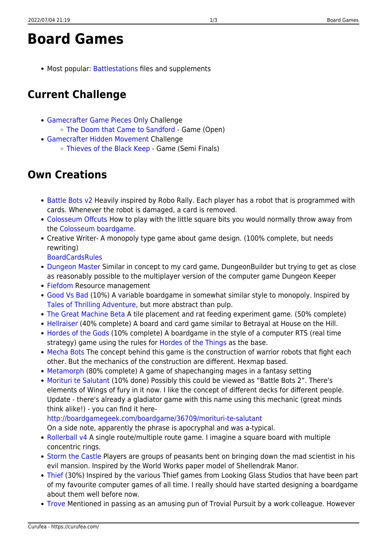# **Board Games**

• Most popular: [Battlestations](https://curufea.com/doku.php?id=games:board:battlestations:start) files and supplements

## **Current Challenge**

- [Gamecrafter Game Pieces Only](https://www.thegamecrafter.com/contests/game-pieces-only-challenge) Challenge
	- [The Doom that Came to Sandford](https://curufea.com/doku.php?id=games:board:gamepieces)  Game (Open)
- [Gamecrafter Hidden Movement](https://www.thegamecrafter.com/contests/hidden-movement-challenge) Challenge
	- [Thieves of the Black Keep](https://curufea.com/doku.php?id=games:board:hiddenmovement)  Game (Semi Finals)

## **Own Creations**

- [Battle Bots v2](https://curufea.com/doku.php?id=games:board:battlebots) Heavily inspired by Robo Rally. Each player has a robot that is programmed with cards. Whenever the robot is damaged, a card is removed.
- [Colosseum Offcuts](https://curufea.com/doku.php?id=games:board:colosseumoffcuts) How to play with the little square bits you would normally throw away from the [Colosseum boardgame.](http://www.boardgamegeek.com/game/27746)
- Creative Writer- A monopoly type game about game design. (100% complete, but needs rewriting)

**[Board](https://curufea.com/lib/exe/fetch.php?media=gamesboard:creative_writer_board.doc)[Cards](https://curufea.com/lib/exe/fetch.php?media=gamesboard:creative_writer_cards.doc)[Rules](https://curufea.com/lib/exe/fetch.php?media=gamesboard:creative_writer.doc)** 

- [Dungeon Master](https://curufea.com/doku.php?id=games:board:dungeonmaster) Similar in concept to my card game, DungeonBuilder but trying to get as close as reasonably possible to the multiplayer version of the computer game Dungeon Keeper
- [Fiefdom](https://curufea.com/doku.php?id=games:board:fiefdom) Resource management
- [Good Vs Bad](https://curufea.com/doku.php?id=games:board:goodvsbad) (10%) A variable boardgame in somewhat similar style to monopoly. Inspired by [Tales of Thrilling Adventure](http://www.boardgamegeek.com/thread/152647), but more abstract than pulp.
- [The Great Machine Beta](https://curufea.com/lib/exe/fetch.php?media=gamesboard:thegreatmachine.zip) A tile placement and rat feeding experiment game. (50% complete)
- [Hellraiser](https://curufea.com/doku.php?id=games:board:hellraiser) (40% complete) A board and card game similar to Betrayal at House on the Hill.
- [Hordes of the Gods](https://curufea.com/doku.php?id=games:board:hordesofthegods) (10% complete) A boardgame in the style of a computer RTS (real time strategy) game using the rules for [Hordes of the Things](http://www.btinternet.com/~alan.catherine/wargames/strong.htm) as the base.
- [Mecha Bots](https://curufea.com/doku.php?id=games:board:mechabots) The concept behind this game is the construction of warrior robots that fight each other. But the mechanics of the construction are different. Hexmap based.
- [Metamorph](https://curufea.com/doku.php?id=games:board:metamorph) (80% complete) A game of shapechanging mages in a fantasy setting
- [Morituri te Salutant](https://curufea.com/doku.php?id=games:board:morituri) (10% done) Possibly this could be viewed as "Battle Bots 2". There's elements of Wings of fury in it now. I like the concept of different decks for different people. Update - there's already a gladiator game with this name using this mechanic (great minds think alike!) - you can find it here-

<http://boardgamegeek.com/boardgame/36709/morituri-te-salutant>

On a side note, apparently the phrase is apocryphal and was a-typical.

- [Rollerball v4](https://curufea.com/doku.php?id=games:board:rollerball) A single route/multiple route game. I imagine a square board with multiple concentric rings.
- [Storm the Castle](https://curufea.com/doku.php?id=games:board:stormthecastle) Players are groups of peasants bent on bringing down the mad scientist in his evil mansion. Inspired by the World Works paper model of Shellendrak Manor.
- [Thief](https://curufea.com/doku.php?id=games:board:thiefgame) (30%) Inspired by the various Thief games from Looking Glass Studios that have been part of my favourite computer games of all time. I really should have started designing a boardgame about them well before now.
- [Trove](https://curufea.com/doku.php?id=games:board:trove) Mentioned in passing as an amusing pun of Trovial Pursuit by a work colleague. However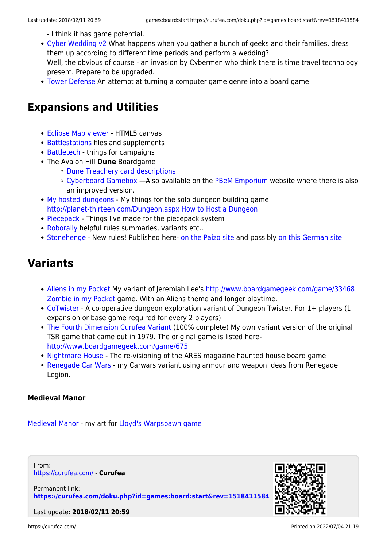- I think it has game potential.
- [Cyber Wedding v2](https://curufea.com/doku.php?id=games:board:wedding) What happens when you gather a bunch of geeks and their families, dress them up according to different time periods and perform a wedding? Well, the obvious of course - an invasion by Cybermen who think there is time travel technology present. Prepare to be upgraded.
- [Tower Defense](https://curufea.com/doku.php?id=games:board:towerdefense) An attempt at turning a computer game genre into a board game

## **Expansions and Utilities**

- [Eclipse Map viewer](http://www.curufea.com/games/eclipse/map.html) HTML5 canvas
- [Battlestations](https://curufea.com/doku.php?id=games:board:battlestations:start) files and supplements
- [Battletech](https://curufea.com/doku.php?id=games:board:gamesbattletech)  things for campaigns
- The Avalon Hill **Dune** Boardgame
	- [Dune Treachery card descriptions](http://www.curufea.com/games/dune/treachery_cards.php)
	- [Cyberboard Gamebox](https://curufea.com/lib/exe/fetch.php?media=gamesboard:dunegame.zip) Also available on the [PBeM Emporium](http://pbem.brainiac.com/oprojects.htm) website where there is also an improved version.
- [My hosted dungeons](https://curufea.com/doku.php?id=games:board:gameshthad)  My things for the solo dungeon building game <http://planet-thirteen.com/Dungeon.aspx How to Host a Dungeon>
- [Piecepack](https://curufea.com/doku.php?id=games:board:gamespiecepack) Things I've made for the piecepack system
- [Roborally](https://curufea.com/doku.php?id=games:board:gamesroborally) helpful rules summaries, variants etc..
- [Stonehenge](https://curufea.com/doku.php?id=games:board:gamesstonehenge) New rules! Published here- [on the Paizo site](http://paizo.com/titanicGames/library/v5748btpy7z43) and possibly [on this German site](http://www.spielzeit.de/stonehenge/spielvarianten/neueregeln/der_dieb.html)

#### **Variants**

- [Aliens in my Pocket](https://curufea.com/doku.php?id=games:board:aimp) My variant of Jeremiah Lee's [http://www.boardgamegeek.com/game/33468](http://www.boardgamegeek.com/game/33468 Zombie in my Pocket) [Zombie in my Pocket](http://www.boardgamegeek.com/game/33468 Zombie in my Pocket) game. With an Aliens theme and longer playtime.
- [CoTwister](https://curufea.com/doku.php?id=games:board:gamescotwist)  A co-operative dungeon exploration variant of Dungeon Twister. For 1+ players (1 expansion or base game required for every 2 players)
- [The Fourth Dimension Curufea Variant](https://curufea.com/doku.php?id=games:board:fourthdimension) (100% complete) My own variant version of the original TSR game that came out in 1979. The original game is listed here<http://www.boardgamegeek.com/game/675>
- [Nightmare House](https://curufea.com/doku.php?id=games:board:gamesnh) The re-visioning of the ARES magazine haunted house board game
- [Renegade Car Wars](https://curufea.com/doku.php?id=games:board:gamesrenegade)  my Carwars variant using armour and weapon ideas from Renegade Legion.

#### **Medieval Manor**

[Medieval Manor](https://curufea.com/doku.php?id=games:board:gamesmanor) - my art for [Lloyd's Warpspawn game](http://www.angelfire.com/games2/warpspawn/MedMan.html)

From: <https://curufea.com/>- **Curufea**

Permanent link: **<https://curufea.com/doku.php?id=games:board:start&rev=1518411584>**

Last update: **2018/02/11 20:59**